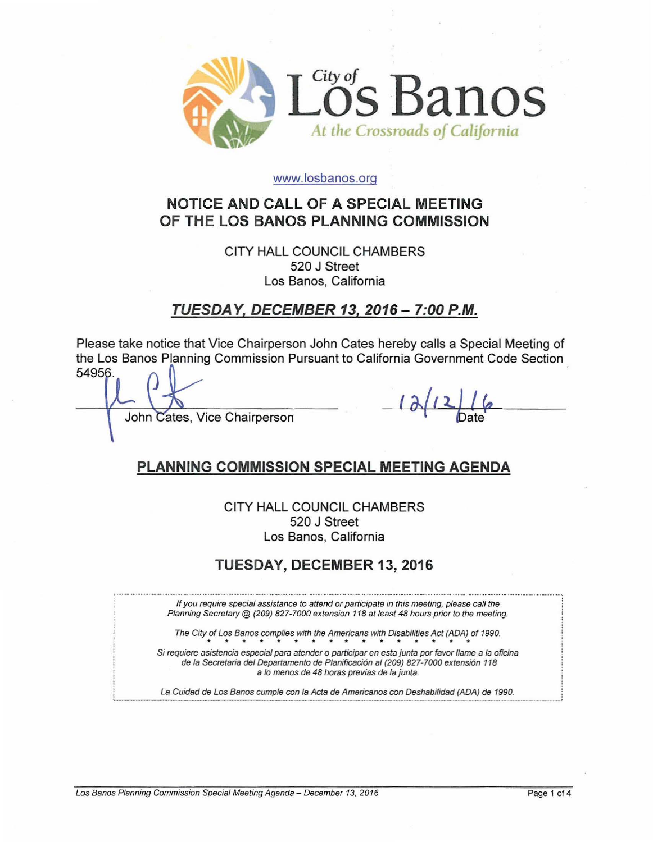

### www.losbanos.org

# NOTICE AND CALL OF A SPECIAL MEETING OF THE LOS BANOS PLANNING COMMISSION

CITY HALL COUNCIL CHAMBERS 520 J Street Los Banos, California

TUESDA Y, DECEMBER 13, 2016 - 7:00 P.M.

Please take notice that Vice Chairperson John Cates hereby calls a Special Meeting of the Los Banos Planning Commission Pursuant to California Government Code Section 54956.

John Cates, Vice Chairperson

### PLANNING COMMISSION SPECIAL MEETING AGENDA

CITY HALL COUNCIL CHAMBERS 520 J Street Los Banos, California

## TUESDAY, DECEMBER 13, 2016

If you require special assistance to attend or participate in this meeting, please call the Planning Secretary @ (209) 827-7000 extension 118 at least 48 hours prior to the meeting.

The City of Los Banos complies with the Americans with Disabilities Act (ADA) of 1990.

Si requiere asistencia especial para atender o participar en esta junta por favor llame a la oficina de la Secretaria del Departamento de Planificación al (209) 827-7000 extensión 118 a lo menos de 48 horas previas de la junta.

La Guidad de Los Banos cumple con la Acta de Americanos con Deshabilidad (ADA) de 1990.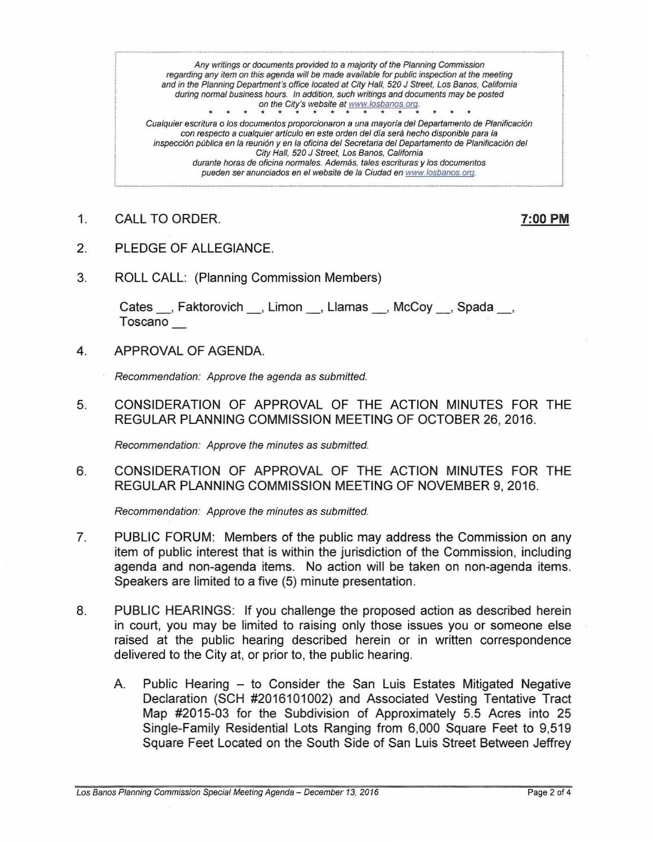Any writings or documents provided to a majority of the Planning Commission regarding any item on this agenda will *be* made available for public inspection at the meeting and in the Planning Department's office located at City Hall, 520 J Street, Los Banos, California during normal business hours. In addition, such writings and documents may be posted on the City's website at www.losbanos.org.

Cualquier escritura o los documentos proporcionaron a una mayoría del Departamento de Planificación con respecto a cualquier artículo en este orden del día será hecho disponible para la inspección pública en la reunión y en la oficina del Secretaria del Departamento de Planificación del City Hall, 520 J Street, Los Banos, California durante horas de oficina normales. Además, tales escrituras y los documentos pueden ser anunciados en el website de la Ciudad en www.losbanos.org.

1. CALL TO ORDER. 200 PM

- 2. PLEDGE OF ALLEGIANCE.
- 3. ROLL CALL: (Planning Commission Members)

Cates , Faktorovich , Limon , Llamas , McCoy , Spada , Toscano

4. APPROVAL OF AGENDA.

Recommendation: Approve the agenda as submitted.

5. CONSIDERATION OF APPROVAL OF THE ACTION MINUTES FOR THE REGULAR PLANNING COMMISSION MEETING OF OCTOBER 26, 2016.

Recommendation: Approve the minutes as submitted.

6. CONSIDERATION OF APPROVAL OF THE ACTION MINUTES FOR THE REGULAR PLANNING COMMISSION MEETING OF NOVEMBER 9, 2016.

Recommendation: Approve the minutes as submitted.

- 7. PUBLIC FORUM: Members of the public may address the Commission on any item of public interest that is within the jurisdiction of the Commission, including agenda and non-agenda items. No action will be taken on non-agenda items. Speakers are limited to a five (5) minute presentation.
- 8. PUBLIC HEARINGS: If you challenge the proposed action as described herein in court, you may be limited to raising only those issues you or someone else raised at the public hearing described herein or in written correspondence delivered to the City at, or prior to, the public hearing.
	- A. Public Hearing to Consider the San Luis Estates Mitigated Negative Declaration (SCH #2016101002) and Associated Vesting Tentative Tract Map #2015-03 for the Subdivision of Approximately 5.5 Acres into 25 Single-Family Residential Lots Ranging from 6,000 Square Feet to 9,519 Square Feet Located on the South Side of San Luis Street Between Jeffrey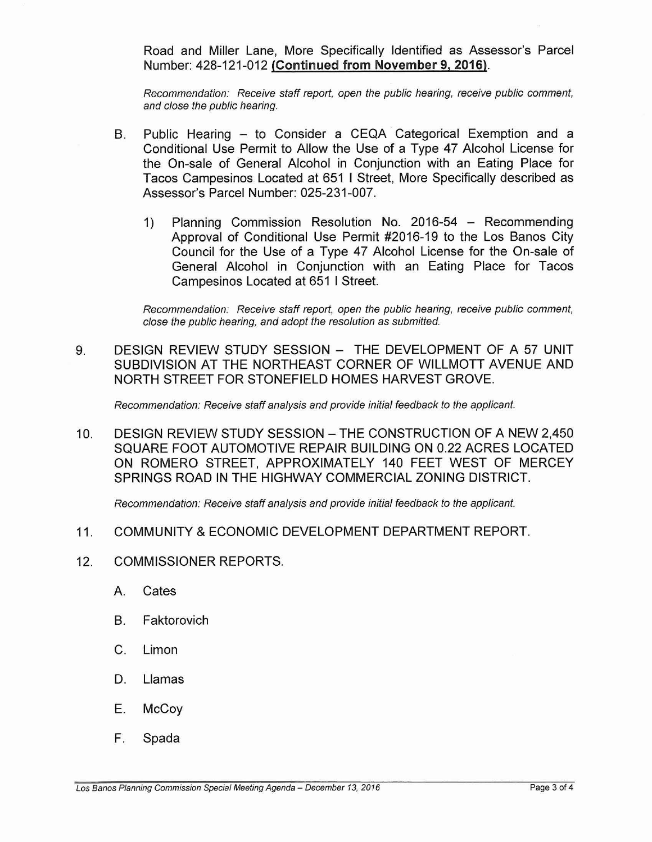Road and Miller Lane, More Specifically Identified as Assessor's Parcel Number: 428-121-012 (Continued from November 9,2016).

Recommendation: Receive staff report, open the public hearing, receive public comment, and close the public hearing.

- B. Public Hearing to Consider a CEQA Categorical Exemption and a Conditional Use Permit to Allow the Use of a Type 47 Alcohol License for the On-sale of General Alcohol in Conjunction with an Eating Place for Tacos Campesinos Located at 651 I Street, More Specifically described as Assessor's Parcel Number: 025-231-007.
	- 1) Planning Commission Resolution No. 2016-54 Recommending Approval of Conditional Use Permit #2016-19 to the Los Banos City Council for the Use of a Type 47 Alcohol License for the On-sale of General Alcohol in Conjunction with an Eating Place for Tacos Campesinos Located at 651 I Street.

Recommendation: Receive staff report, open the public hearing, receive public comment, close the public hearing, and adopt the resolution as submitted.

9. DESIGN REVIEW STUDY SESSION - THE DEVELOPMENT OF A 57 UNIT SUBDIVISION AT THE NORTHEAST CORNER OF WILLMOTT AVENUE AND NORTH STREET FOR STONEFIELD HOMES HARVEST GROVE.

Recommendation: Receive staff analysis and provide initial feedback to the applicant.

10. DESIGN REVIEW STUDY SESSION - THE CONSTRUCTION OF A NEW 2,450 SQUARE FOOT AUTOMOTIVE REPAIR BUILDING ON 0.22 ACRES LOCATED ON ROMERO STREET, APPROXIMATELY 140 FEET WEST OF MERCEY SPRINGS ROAD IN THE HIGHWAY COMMERCIAL ZONING DISTRICT.

Recommendation: Receive staff analysis and provide initial feedback to the applicant.

- 11. COMMUNITY &ECONOMIC DEVELOPMENT DEPARTMENT REPORT.
- 12. COMMISSIONER REPORTS.
	- A. Cates
	- B. Faktorovich
	- C. Limon
	- D. Llamas
	- E. McCoy
	- F. Spada